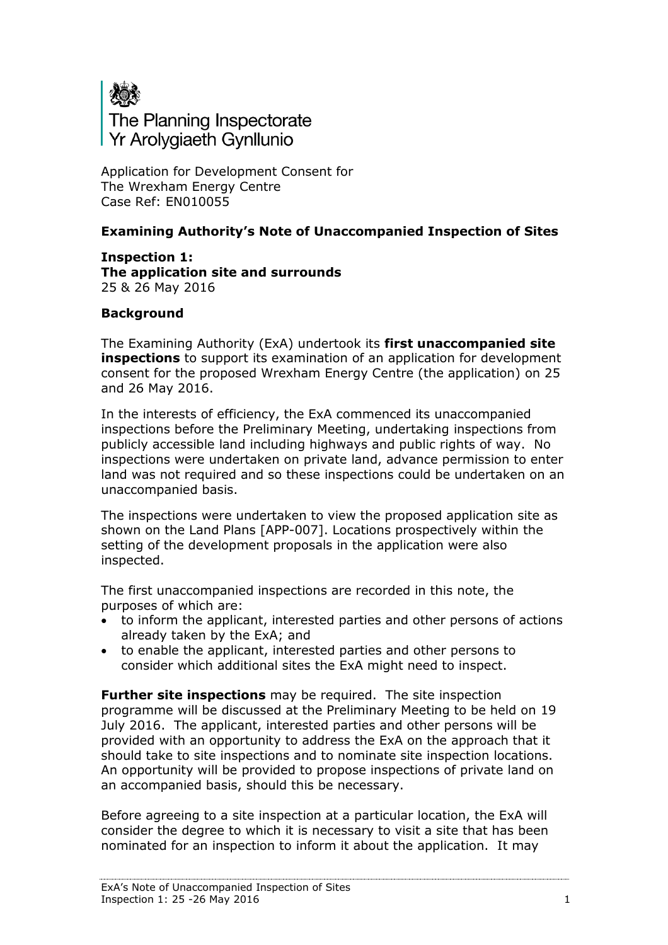

Application for Development Consent for The Wrexham Energy Centre Case Ref: EN010055

## **Examining Authority's Note of Unaccompanied Inspection of Sites**

**Inspection 1: The application site and surrounds** 25 & 26 May 2016

## **Background**

The Examining Authority (ExA) undertook its **first unaccompanied site inspections** to support its examination of an application for development consent for the proposed Wrexham Energy Centre (the application) on 25 and 26 May 2016.

In the interests of efficiency, the ExA commenced its unaccompanied inspections before the Preliminary Meeting, undertaking inspections from publicly accessible land including highways and public rights of way. No inspections were undertaken on private land, advance permission to enter land was not required and so these inspections could be undertaken on an unaccompanied basis.

The inspections were undertaken to view the proposed application site as shown on the Land Plans [APP-007]. Locations prospectively within the setting of the development proposals in the application were also inspected.

The first unaccompanied inspections are recorded in this note, the purposes of which are:

- to inform the applicant, interested parties and other persons of actions already taken by the ExA; and
- to enable the applicant, interested parties and other persons to consider which additional sites the ExA might need to inspect.

**Further site inspections** may be required. The site inspection programme will be discussed at the Preliminary Meeting to be held on 19 July 2016. The applicant, interested parties and other persons will be provided with an opportunity to address the ExA on the approach that it should take to site inspections and to nominate site inspection locations. An opportunity will be provided to propose inspections of private land on an accompanied basis, should this be necessary.

Before agreeing to a site inspection at a particular location, the ExA will consider the degree to which it is necessary to visit a site that has been nominated for an inspection to inform it about the application. It may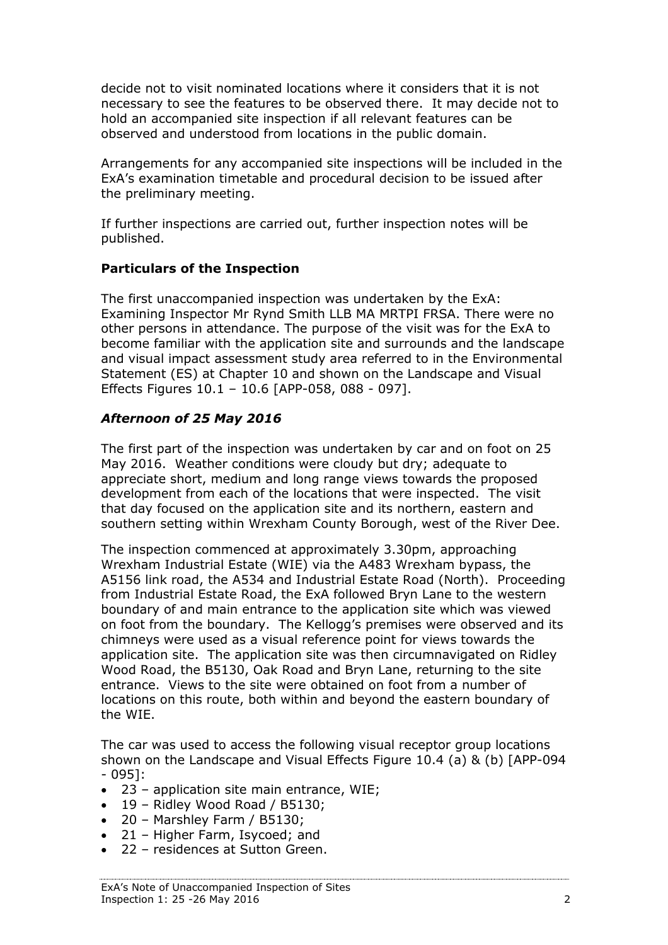decide not to visit nominated locations where it considers that it is not necessary to see the features to be observed there. It may decide not to hold an accompanied site inspection if all relevant features can be observed and understood from locations in the public domain.

Arrangements for any accompanied site inspections will be included in the ExA's examination timetable and procedural decision to be issued after the preliminary meeting.

If further inspections are carried out, further inspection notes will be published.

#### **Particulars of the Inspection**

The first unaccompanied inspection was undertaken by the ExA: Examining Inspector Mr Rynd Smith LLB MA MRTPI FRSA. There were no other persons in attendance. The purpose of the visit was for the ExA to become familiar with the application site and surrounds and the landscape and visual impact assessment study area referred to in the Environmental Statement (ES) at Chapter 10 and shown on the Landscape and Visual Effects Figures 10.1 – 10.6 [APP-058, 088 - 097].

## *Afternoon of 25 May 2016*

The first part of the inspection was undertaken by car and on foot on 25 May 2016. Weather conditions were cloudy but dry; adequate to appreciate short, medium and long range views towards the proposed development from each of the locations that were inspected. The visit that day focused on the application site and its northern, eastern and southern setting within Wrexham County Borough, west of the River Dee.

The inspection commenced at approximately 3.30pm, approaching Wrexham Industrial Estate (WIE) via the A483 Wrexham bypass, the A5156 link road, the A534 and Industrial Estate Road (North). Proceeding from Industrial Estate Road, the ExA followed Bryn Lane to the western boundary of and main entrance to the application site which was viewed on foot from the boundary. The Kellogg's premises were observed and its chimneys were used as a visual reference point for views towards the application site. The application site was then circumnavigated on Ridley Wood Road, the B5130, Oak Road and Bryn Lane, returning to the site entrance. Views to the site were obtained on foot from a number of locations on this route, both within and beyond the eastern boundary of the WIE.

The car was used to access the following visual receptor group locations shown on the Landscape and Visual Effects Figure 10.4 (a) & (b) [APP-094 - 095]:

- 23 application site main entrance, WIE;
- $\bullet$  19 Ridley Wood Road / B5130;
- 20 Marshley Farm / B5130;
- 21 Higher Farm, Isycoed; and
- 22 residences at Sutton Green.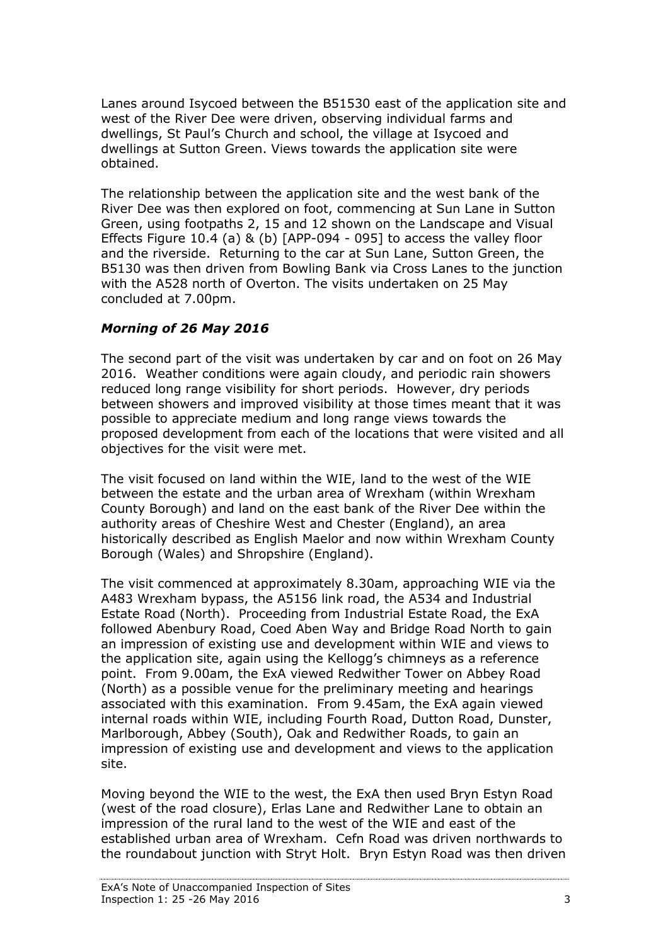Lanes around Isycoed between the B51530 east of the application site and west of the River Dee were driven, observing individual farms and dwellings, St Paul's Church and school, the village at Isycoed and dwellings at Sutton Green. Views towards the application site were obtained.

The relationship between the application site and the west bank of the River Dee was then explored on foot, commencing at Sun Lane in Sutton Green, using footpaths 2, 15 and 12 shown on the Landscape and Visual Effects Figure 10.4 (a) & (b) [APP-094 - 095] to access the valley floor and the riverside. Returning to the car at Sun Lane, Sutton Green, the B5130 was then driven from Bowling Bank via Cross Lanes to the junction with the A528 north of Overton. The visits undertaken on 25 May concluded at 7.00pm.

# *Morning of 26 May 2016*

The second part of the visit was undertaken by car and on foot on 26 May 2016. Weather conditions were again cloudy, and periodic rain showers reduced long range visibility for short periods. However, dry periods between showers and improved visibility at those times meant that it was possible to appreciate medium and long range views towards the proposed development from each of the locations that were visited and all objectives for the visit were met.

The visit focused on land within the WIE, land to the west of the WIE between the estate and the urban area of Wrexham (within Wrexham County Borough) and land on the east bank of the River Dee within the authority areas of Cheshire West and Chester (England), an area historically described as English Maelor and now within Wrexham County Borough (Wales) and Shropshire (England).

The visit commenced at approximately 8.30am, approaching WIE via the A483 Wrexham bypass, the A5156 link road, the A534 and Industrial Estate Road (North). Proceeding from Industrial Estate Road, the ExA followed Abenbury Road, Coed Aben Way and Bridge Road North to gain an impression of existing use and development within WIE and views to the application site, again using the Kellogg's chimneys as a reference point. From 9.00am, the ExA viewed Redwither Tower on Abbey Road (North) as a possible venue for the preliminary meeting and hearings associated with this examination. From 9.45am, the ExA again viewed internal roads within WIE, including Fourth Road, Dutton Road, Dunster, Marlborough, Abbey (South), Oak and Redwither Roads, to gain an impression of existing use and development and views to the application site.

Moving beyond the WIE to the west, the ExA then used Bryn Estyn Road (west of the road closure), Erlas Lane and Redwither Lane to obtain an impression of the rural land to the west of the WIE and east of the established urban area of Wrexham. Cefn Road was driven northwards to the roundabout junction with Stryt Holt. Bryn Estyn Road was then driven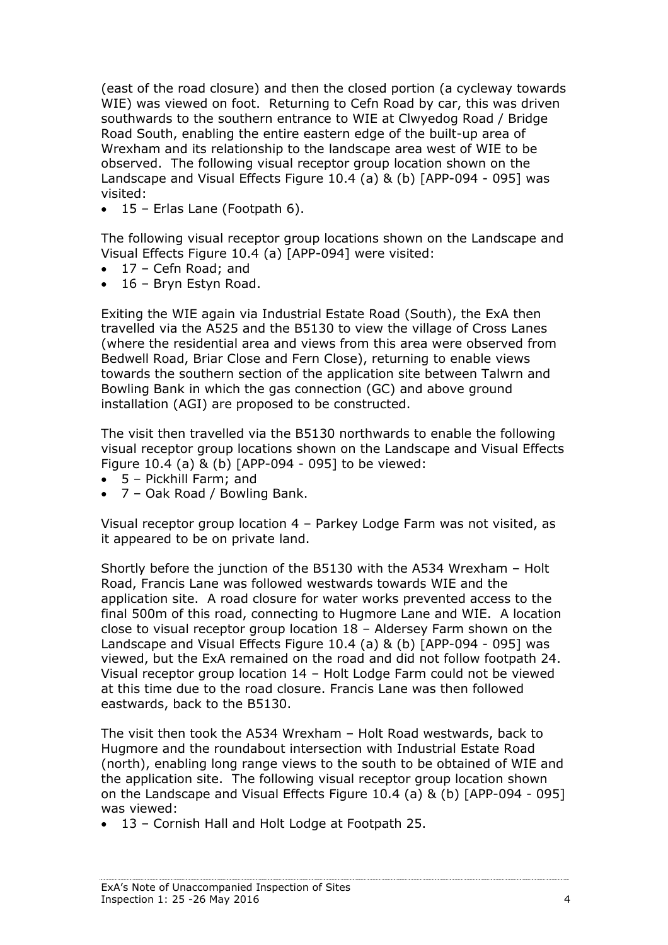(east of the road closure) and then the closed portion (a cycleway towards WIE) was viewed on foot. Returning to Cefn Road by car, this was driven southwards to the southern entrance to WIE at Clwyedog Road / Bridge Road South, enabling the entire eastern edge of the built-up area of Wrexham and its relationship to the landscape area west of WIE to be observed. The following visual receptor group location shown on the Landscape and Visual Effects Figure 10.4 (a) & (b) [APP-094 - 095] was visited:

 $\bullet$  15 – Erlas Lane (Footpath 6).

The following visual receptor group locations shown on the Landscape and Visual Effects Figure 10.4 (a) [APP-094] were visited:

- 17 Cefn Road; and
- 16 Bryn Estyn Road.

Exiting the WIE again via Industrial Estate Road (South), the ExA then travelled via the A525 and the B5130 to view the village of Cross Lanes (where the residential area and views from this area were observed from Bedwell Road, Briar Close and Fern Close), returning to enable views towards the southern section of the application site between Talwrn and Bowling Bank in which the gas connection (GC) and above ground installation (AGI) are proposed to be constructed.

The visit then travelled via the B5130 northwards to enable the following visual receptor group locations shown on the Landscape and Visual Effects Figure 10.4 (a) & (b) [APP-094 - 095] to be viewed:

- 5 Pickhill Farm; and
- 7 Oak Road / Bowling Bank.

Visual receptor group location 4 – Parkey Lodge Farm was not visited, as it appeared to be on private land.

Shortly before the junction of the B5130 with the A534 Wrexham – Holt Road, Francis Lane was followed westwards towards WIE and the application site. A road closure for water works prevented access to the final 500m of this road, connecting to Hugmore Lane and WIE. A location close to visual receptor group location 18 – Aldersey Farm shown on the Landscape and Visual Effects Figure 10.4 (a) & (b) [APP-094 - 095] was viewed, but the ExA remained on the road and did not follow footpath 24. Visual receptor group location 14 – Holt Lodge Farm could not be viewed at this time due to the road closure. Francis Lane was then followed eastwards, back to the B5130.

The visit then took the A534 Wrexham – Holt Road westwards, back to Hugmore and the roundabout intersection with Industrial Estate Road (north), enabling long range views to the south to be obtained of WIE and the application site. The following visual receptor group location shown on the Landscape and Visual Effects Figure 10.4 (a) & (b) [APP-094 - 095] was viewed:

13 – Cornish Hall and Holt Lodge at Footpath 25.